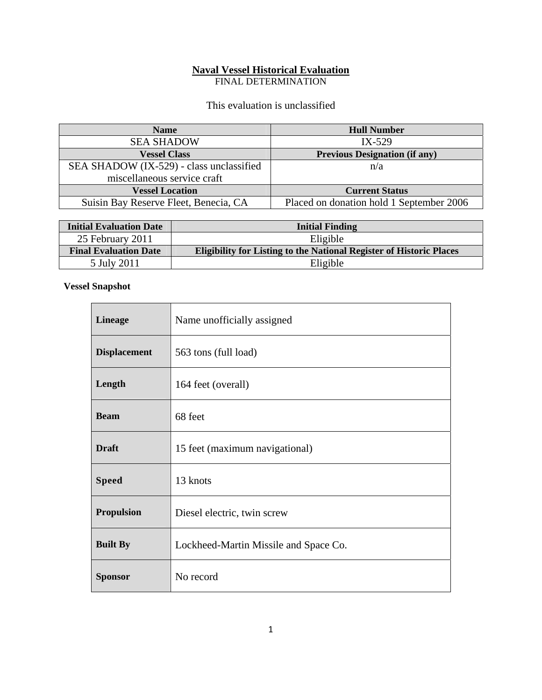# **Naval Vessel Historical Evaluation**

FINAL DETERMINATION

This evaluation is unclassified

| <b>Name</b>                              | <b>Hull Number</b>                       |
|------------------------------------------|------------------------------------------|
| <b>SEA SHADOW</b>                        | $IX-529$                                 |
| <b>Vessel Class</b>                      | <b>Previous Designation (if any)</b>     |
| SEA SHADOW (IX-529) - class unclassified | n/a                                      |
| miscellaneous service craft              |                                          |
| <b>Vessel Location</b>                   | <b>Current Status</b>                    |
| Suisin Bay Reserve Fleet, Benecia, CA    | Placed on donation hold 1 September 2006 |

| <b>Initial Evaluation Date</b> | <b>Initial Finding</b>                                                     |
|--------------------------------|----------------------------------------------------------------------------|
| 25 February 2011               | Eligible                                                                   |
| <b>Final Evaluation Date</b>   | <b>Eligibility for Listing to the National Register of Historic Places</b> |
| 5 July 2011                    | Eligible                                                                   |

### **Vessel Snapshot**

| <b>Lineage</b>      | Name unofficially assigned            |
|---------------------|---------------------------------------|
|                     |                                       |
| <b>Displacement</b> | 563 tons (full load)                  |
| Length              | 164 feet (overall)                    |
| <b>Beam</b>         | 68 feet                               |
| <b>Draft</b>        | 15 feet (maximum navigational)        |
| <b>Speed</b>        | 13 knots                              |
| <b>Propulsion</b>   | Diesel electric, twin screw           |
| <b>Built By</b>     | Lockheed-Martin Missile and Space Co. |
| <b>Sponsor</b>      | No record                             |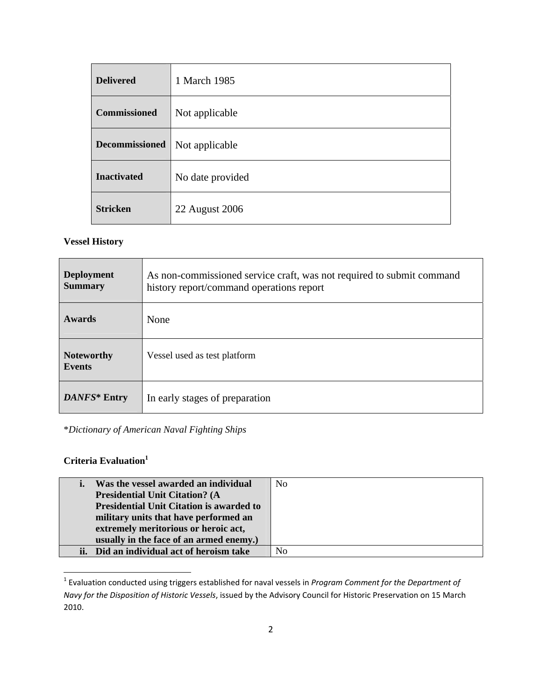| <b>Delivered</b>      | 1 March 1985     |
|-----------------------|------------------|
| <b>Commissioned</b>   | Not applicable   |
| <b>Decommissioned</b> | Not applicable   |
| <b>Inactivated</b>    | No date provided |
| <b>Stricken</b>       | 22 August 2006   |

### **Vessel History**

| <b>Deployment</b><br><b>Summary</b> | As non-commissioned service craft, was not required to submit command<br>history report/command operations report |
|-------------------------------------|-------------------------------------------------------------------------------------------------------------------|
| <b>Awards</b>                       | None                                                                                                              |
| <b>Noteworthy</b><br><b>Events</b>  | Vessel used as test platform                                                                                      |
| DANFS* Entry                        | In early stages of preparation                                                                                    |

\**Dictionary of American Naval Fighting Ships*

## **Criteria Evaluation**<sup>1</sup>

| Was the vessel awarded an individual            | N <sub>o</sub> |
|-------------------------------------------------|----------------|
| <b>Presidential Unit Citation? (A</b>           |                |
| <b>Presidential Unit Citation is awarded to</b> |                |
| military units that have performed an           |                |
| extremely meritorious or heroic act,            |                |
| usually in the face of an armed enemy.)         |                |
| ii. Did an individual act of heroism take       | No             |

<sup>1</sup> Evaluation conducted using triggers established for naval vessels in *Program Comment for the Department of Navy for the Disposition of Historic Vessels*, issued by the Advisory Council for Historic Preservation on 15 March 2010.